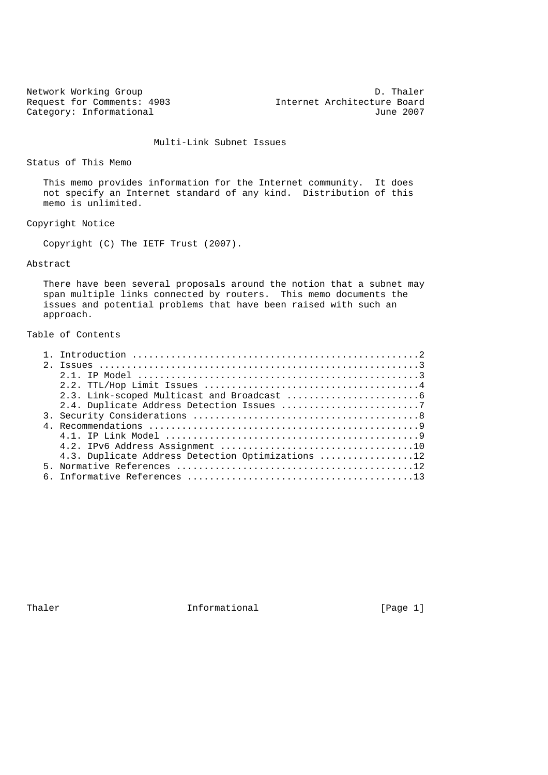Network Working Group Decomposition of the United States of D. Thaler Request for Comments: 4903 Internet Architecture Board Category: Informational and Category: Informational and Category: Informational and Category: Informational and Category: Informational and Category: Informational and Category: Informational and Category: Informational an

Multi-Link Subnet Issues

Status of This Memo

 This memo provides information for the Internet community. It does not specify an Internet standard of any kind. Distribution of this memo is unlimited.

Copyright Notice

Copyright (C) The IETF Trust (2007).

# Abstract

 There have been several proposals around the notion that a subnet may span multiple links connected by routers. This memo documents the issues and potential problems that have been raised with such an approach.

# Table of Contents

|  | 4.3. Duplicate Address Detection Optimizations 12 |
|--|---------------------------------------------------|
|  |                                                   |
|  |                                                   |
|  |                                                   |

Thaler **Informational Informational** [Page 1]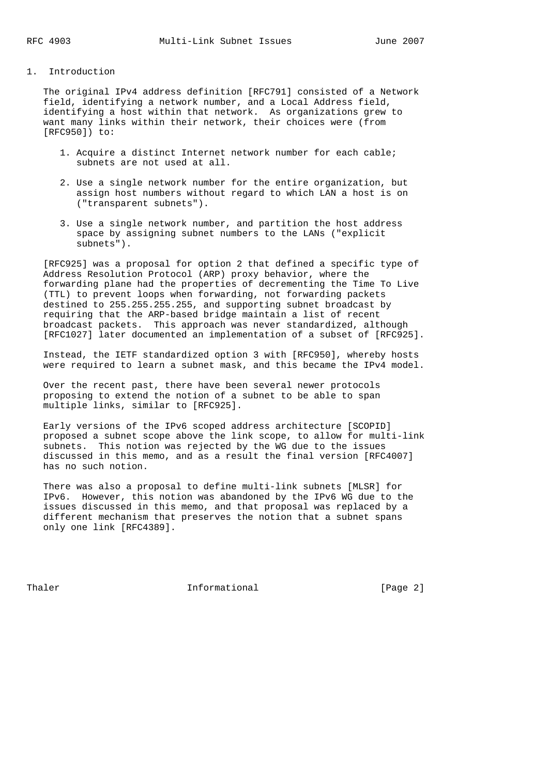# 1. Introduction

 The original IPv4 address definition [RFC791] consisted of a Network field, identifying a network number, and a Local Address field, identifying a host within that network. As organizations grew to want many links within their network, their choices were (from [RFC950]) to:

- 1. Acquire a distinct Internet network number for each cable; subnets are not used at all.
- 2. Use a single network number for the entire organization, but assign host numbers without regard to which LAN a host is on ("transparent subnets").
- 3. Use a single network number, and partition the host address space by assigning subnet numbers to the LANs ("explicit subnets").

 [RFC925] was a proposal for option 2 that defined a specific type of Address Resolution Protocol (ARP) proxy behavior, where the forwarding plane had the properties of decrementing the Time To Live (TTL) to prevent loops when forwarding, not forwarding packets destined to 255.255.255.255, and supporting subnet broadcast by requiring that the ARP-based bridge maintain a list of recent broadcast packets. This approach was never standardized, although [RFC1027] later documented an implementation of a subset of [RFC925].

 Instead, the IETF standardized option 3 with [RFC950], whereby hosts were required to learn a subnet mask, and this became the IPv4 model.

 Over the recent past, there have been several newer protocols proposing to extend the notion of a subnet to be able to span multiple links, similar to [RFC925].

 Early versions of the IPv6 scoped address architecture [SCOPID] proposed a subnet scope above the link scope, to allow for multi-link subnets. This notion was rejected by the WG due to the issues discussed in this memo, and as a result the final version [RFC4007] has no such notion.

 There was also a proposal to define multi-link subnets [MLSR] for IPv6. However, this notion was abandoned by the IPv6 WG due to the issues discussed in this memo, and that proposal was replaced by a different mechanism that preserves the notion that a subnet spans only one link [RFC4389].

Thaler **Informational Informational** [Page 2]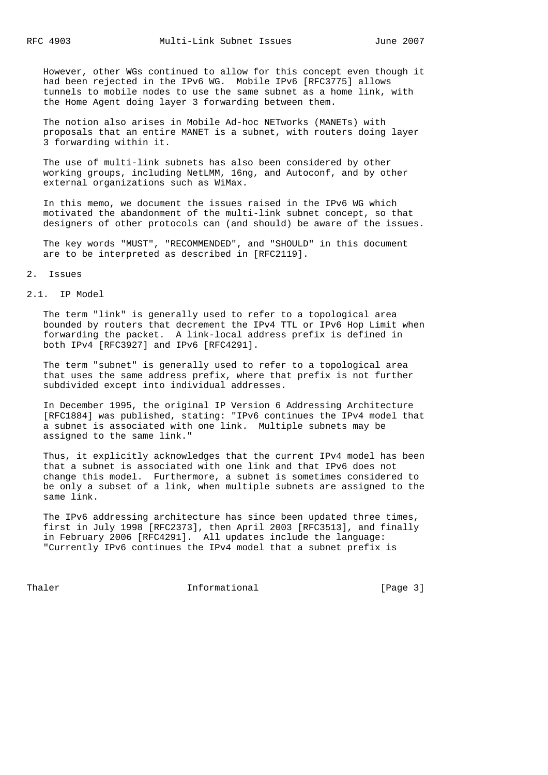However, other WGs continued to allow for this concept even though it had been rejected in the IPv6 WG. Mobile IPv6 [RFC3775] allows tunnels to mobile nodes to use the same subnet as a home link, with the Home Agent doing layer 3 forwarding between them.

 The notion also arises in Mobile Ad-hoc NETworks (MANETs) with proposals that an entire MANET is a subnet, with routers doing layer 3 forwarding within it.

 The use of multi-link subnets has also been considered by other working groups, including NetLMM, 16ng, and Autoconf, and by other external organizations such as WiMax.

 In this memo, we document the issues raised in the IPv6 WG which motivated the abandonment of the multi-link subnet concept, so that designers of other protocols can (and should) be aware of the issues.

 The key words "MUST", "RECOMMENDED", and "SHOULD" in this document are to be interpreted as described in [RFC2119].

#### 2. Issues

#### 2.1. IP Model

 The term "link" is generally used to refer to a topological area bounded by routers that decrement the IPv4 TTL or IPv6 Hop Limit when forwarding the packet. A link-local address prefix is defined in both IPv4 [RFC3927] and IPv6 [RFC4291].

 The term "subnet" is generally used to refer to a topological area that uses the same address prefix, where that prefix is not further subdivided except into individual addresses.

 In December 1995, the original IP Version 6 Addressing Architecture [RFC1884] was published, stating: "IPv6 continues the IPv4 model that a subnet is associated with one link. Multiple subnets may be assigned to the same link."

 Thus, it explicitly acknowledges that the current IPv4 model has been that a subnet is associated with one link and that IPv6 does not change this model. Furthermore, a subnet is sometimes considered to be only a subset of a link, when multiple subnets are assigned to the same link.

The IPv6 addressing architecture has since been updated three times, first in July 1998 [RFC2373], then April 2003 [RFC3513], and finally in February 2006 [RFC4291]. All updates include the language: "Currently IPv6 continues the IPv4 model that a subnet prefix is

Thaler **Informational Informational** [Page 3]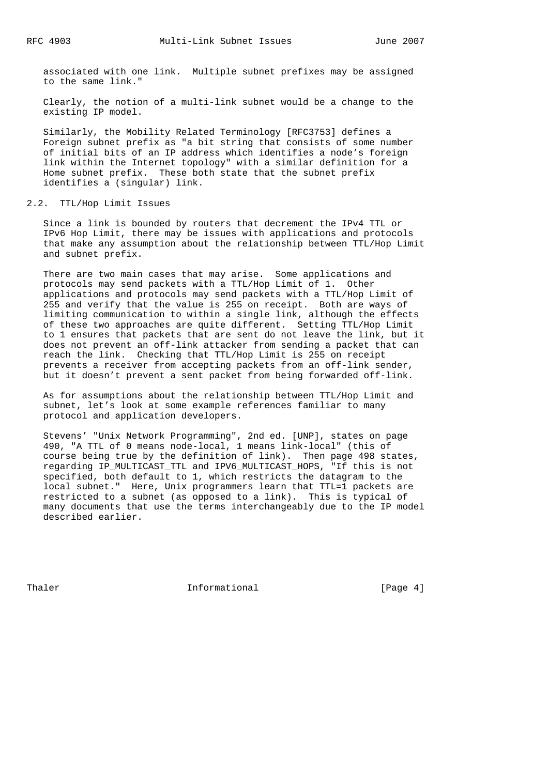associated with one link. Multiple subnet prefixes may be assigned to the same link."

 Clearly, the notion of a multi-link subnet would be a change to the existing IP model.

 Similarly, the Mobility Related Terminology [RFC3753] defines a Foreign subnet prefix as "a bit string that consists of some number of initial bits of an IP address which identifies a node's foreign link within the Internet topology" with a similar definition for a Home subnet prefix. These both state that the subnet prefix identifies a (singular) link.

# 2.2. TTL/Hop Limit Issues

 Since a link is bounded by routers that decrement the IPv4 TTL or IPv6 Hop Limit, there may be issues with applications and protocols that make any assumption about the relationship between TTL/Hop Limit and subnet prefix.

 There are two main cases that may arise. Some applications and protocols may send packets with a TTL/Hop Limit of 1. Other applications and protocols may send packets with a TTL/Hop Limit of 255 and verify that the value is 255 on receipt. Both are ways of limiting communication to within a single link, although the effects of these two approaches are quite different. Setting TTL/Hop Limit to 1 ensures that packets that are sent do not leave the link, but it does not prevent an off-link attacker from sending a packet that can reach the link. Checking that TTL/Hop Limit is 255 on receipt prevents a receiver from accepting packets from an off-link sender, but it doesn't prevent a sent packet from being forwarded off-link.

 As for assumptions about the relationship between TTL/Hop Limit and subnet, let's look at some example references familiar to many protocol and application developers.

 Stevens' "Unix Network Programming", 2nd ed. [UNP], states on page 490, "A TTL of 0 means node-local, 1 means link-local" (this of course being true by the definition of link). Then page 498 states, regarding IP\_MULTICAST\_TTL and IPV6\_MULTICAST\_HOPS, "If this is not specified, both default to 1, which restricts the datagram to the local subnet." Here, Unix programmers learn that TTL=1 packets are restricted to a subnet (as opposed to a link). This is typical of many documents that use the terms interchangeably due to the IP model described earlier.

Thaler **Informational Informational** [Page 4]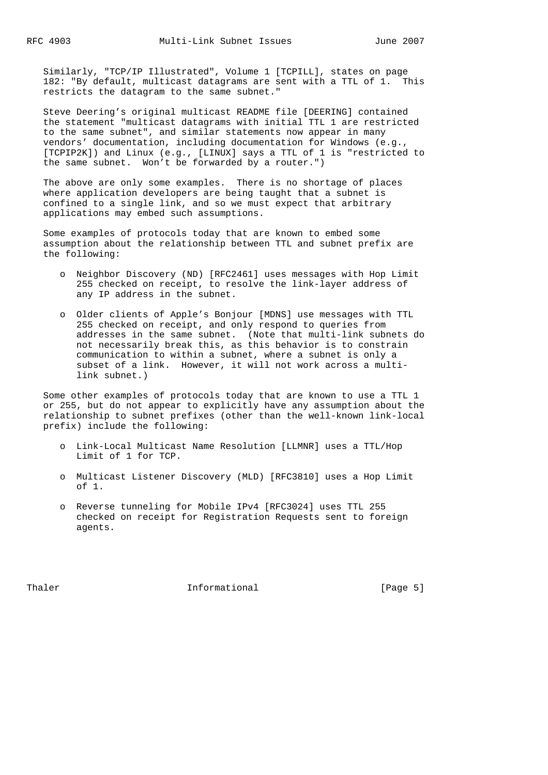Similarly, "TCP/IP Illustrated", Volume 1 [TCPILL], states on page 182: "By default, multicast datagrams are sent with a TTL of 1. This restricts the datagram to the same subnet."

 Steve Deering's original multicast README file [DEERING] contained the statement "multicast datagrams with initial TTL 1 are restricted to the same subnet", and similar statements now appear in many vendors' documentation, including documentation for Windows (e.g., [TCPIP2K]) and Linux (e.g., [LINUX] says a TTL of 1 is "restricted to the same subnet. Won't be forwarded by a router.")

 The above are only some examples. There is no shortage of places where application developers are being taught that a subnet is confined to a single link, and so we must expect that arbitrary applications may embed such assumptions.

 Some examples of protocols today that are known to embed some assumption about the relationship between TTL and subnet prefix are the following:

- o Neighbor Discovery (ND) [RFC2461] uses messages with Hop Limit 255 checked on receipt, to resolve the link-layer address of any IP address in the subnet.
- o Older clients of Apple's Bonjour [MDNS] use messages with TTL 255 checked on receipt, and only respond to queries from addresses in the same subnet. (Note that multi-link subnets do not necessarily break this, as this behavior is to constrain communication to within a subnet, where a subnet is only a subset of a link. However, it will not work across a multi link subnet.)

 Some other examples of protocols today that are known to use a TTL 1 or 255, but do not appear to explicitly have any assumption about the relationship to subnet prefixes (other than the well-known link-local prefix) include the following:

- o Link-Local Multicast Name Resolution [LLMNR] uses a TTL/Hop Limit of 1 for TCP.
- o Multicast Listener Discovery (MLD) [RFC3810] uses a Hop Limit of 1.
- o Reverse tunneling for Mobile IPv4 [RFC3024] uses TTL 255 checked on receipt for Registration Requests sent to foreign agents.

Thaler **Informational Informational** [Page 5]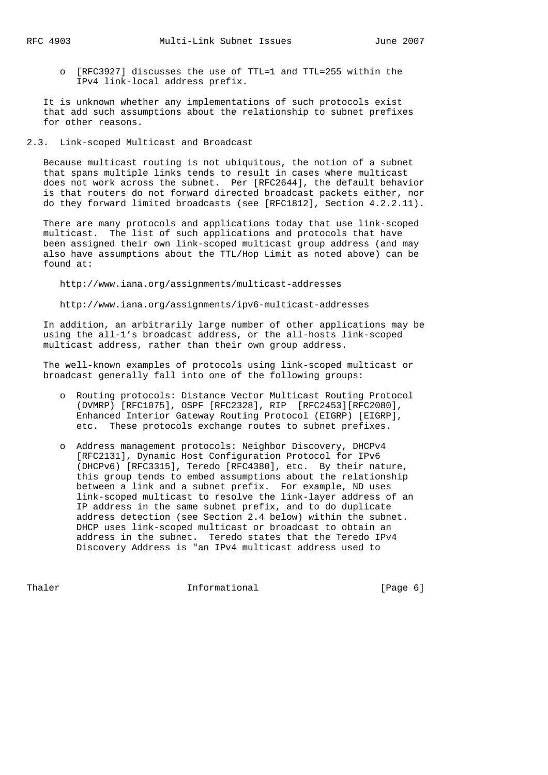o [RFC3927] discusses the use of TTL=1 and TTL=255 within the IPv4 link-local address prefix.

 It is unknown whether any implementations of such protocols exist that add such assumptions about the relationship to subnet prefixes for other reasons.

### 2.3. Link-scoped Multicast and Broadcast

 Because multicast routing is not ubiquitous, the notion of a subnet that spans multiple links tends to result in cases where multicast does not work across the subnet. Per [RFC2644], the default behavior is that routers do not forward directed broadcast packets either, nor do they forward limited broadcasts (see [RFC1812], Section 4.2.2.11).

 There are many protocols and applications today that use link-scoped multicast. The list of such applications and protocols that have been assigned their own link-scoped multicast group address (and may also have assumptions about the TTL/Hop Limit as noted above) can be found at:

http://www.iana.org/assignments/multicast-addresses

http://www.iana.org/assignments/ipv6-multicast-addresses

 In addition, an arbitrarily large number of other applications may be using the all-1's broadcast address, or the all-hosts link-scoped multicast address, rather than their own group address.

 The well-known examples of protocols using link-scoped multicast or broadcast generally fall into one of the following groups:

- o Routing protocols: Distance Vector Multicast Routing Protocol (DVMRP) [RFC1075], OSPF [RFC2328], RIP [RFC2453][RFC2080], Enhanced Interior Gateway Routing Protocol (EIGRP) [EIGRP], etc. These protocols exchange routes to subnet prefixes.
- o Address management protocols: Neighbor Discovery, DHCPv4 [RFC2131], Dynamic Host Configuration Protocol for IPv6 (DHCPv6) [RFC3315], Teredo [RFC4380], etc. By their nature, this group tends to embed assumptions about the relationship between a link and a subnet prefix. For example, ND uses link-scoped multicast to resolve the link-layer address of an IP address in the same subnet prefix, and to do duplicate address detection (see Section 2.4 below) within the subnet. DHCP uses link-scoped multicast or broadcast to obtain an address in the subnet. Teredo states that the Teredo IPv4 Discovery Address is "an IPv4 multicast address used to

Thaler **Informational Informational** [Page 6]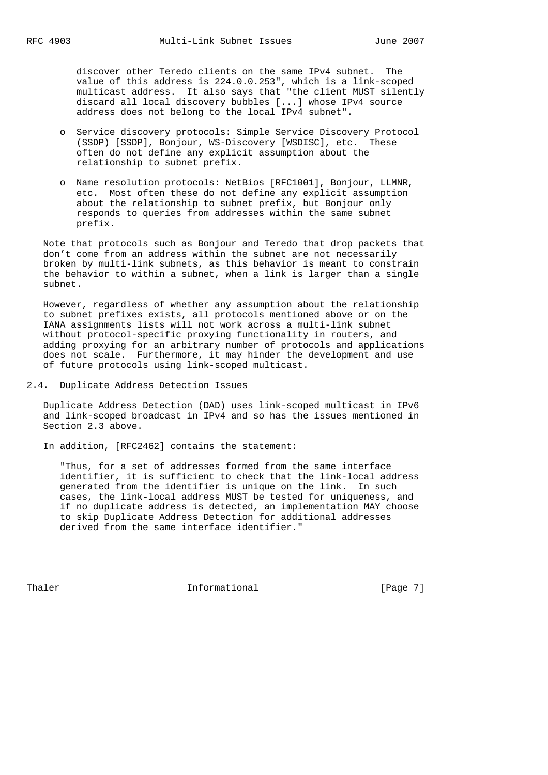discover other Teredo clients on the same IPv4 subnet. The value of this address is 224.0.0.253", which is a link-scoped multicast address. It also says that "the client MUST silently discard all local discovery bubbles [...] whose IPv4 source address does not belong to the local IPv4 subnet".

- o Service discovery protocols: Simple Service Discovery Protocol (SSDP) [SSDP], Bonjour, WS-Discovery [WSDISC], etc. These often do not define any explicit assumption about the relationship to subnet prefix.
- o Name resolution protocols: NetBios [RFC1001], Bonjour, LLMNR, etc. Most often these do not define any explicit assumption about the relationship to subnet prefix, but Bonjour only responds to queries from addresses within the same subnet prefix.

 Note that protocols such as Bonjour and Teredo that drop packets that don't come from an address within the subnet are not necessarily broken by multi-link subnets, as this behavior is meant to constrain the behavior to within a subnet, when a link is larger than a single subnet.

 However, regardless of whether any assumption about the relationship to subnet prefixes exists, all protocols mentioned above or on the IANA assignments lists will not work across a multi-link subnet without protocol-specific proxying functionality in routers, and adding proxying for an arbitrary number of protocols and applications does not scale. Furthermore, it may hinder the development and use of future protocols using link-scoped multicast.

2.4. Duplicate Address Detection Issues

 Duplicate Address Detection (DAD) uses link-scoped multicast in IPv6 and link-scoped broadcast in IPv4 and so has the issues mentioned in Section 2.3 above.

In addition, [RFC2462] contains the statement:

 "Thus, for a set of addresses formed from the same interface identifier, it is sufficient to check that the link-local address generated from the identifier is unique on the link. In such cases, the link-local address MUST be tested for uniqueness, and if no duplicate address is detected, an implementation MAY choose to skip Duplicate Address Detection for additional addresses derived from the same interface identifier."

Thaler **Informational** Informational [Page 7]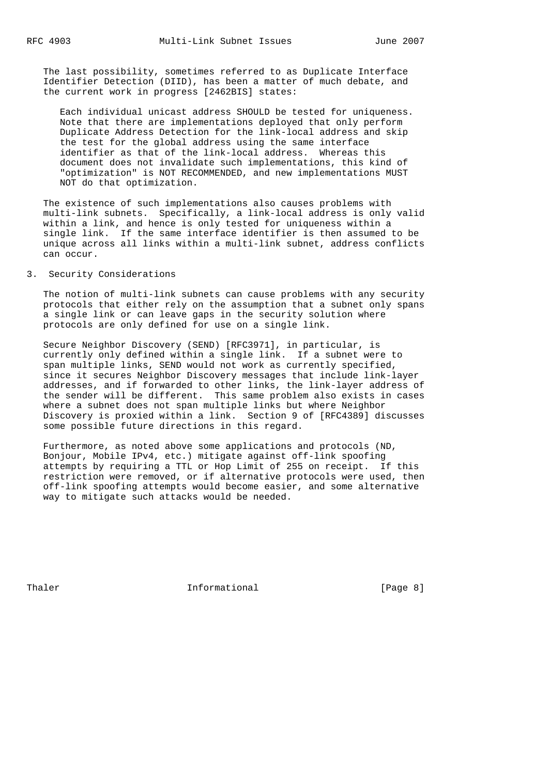The last possibility, sometimes referred to as Duplicate Interface Identifier Detection (DIID), has been a matter of much debate, and the current work in progress [2462BIS] states:

 Each individual unicast address SHOULD be tested for uniqueness. Note that there are implementations deployed that only perform Duplicate Address Detection for the link-local address and skip the test for the global address using the same interface identifier as that of the link-local address. Whereas this document does not invalidate such implementations, this kind of "optimization" is NOT RECOMMENDED, and new implementations MUST NOT do that optimization.

 The existence of such implementations also causes problems with multi-link subnets. Specifically, a link-local address is only valid within a link, and hence is only tested for uniqueness within a single link. If the same interface identifier is then assumed to be unique across all links within a multi-link subnet, address conflicts can occur.

# 3. Security Considerations

 The notion of multi-link subnets can cause problems with any security protocols that either rely on the assumption that a subnet only spans a single link or can leave gaps in the security solution where protocols are only defined for use on a single link.

 Secure Neighbor Discovery (SEND) [RFC3971], in particular, is currently only defined within a single link. If a subnet were to span multiple links, SEND would not work as currently specified, since it secures Neighbor Discovery messages that include link-layer addresses, and if forwarded to other links, the link-layer address of the sender will be different. This same problem also exists in cases where a subnet does not span multiple links but where Neighbor Discovery is proxied within a link. Section 9 of [RFC4389] discusses some possible future directions in this regard.

 Furthermore, as noted above some applications and protocols (ND, Bonjour, Mobile IPv4, etc.) mitigate against off-link spoofing attempts by requiring a TTL or Hop Limit of 255 on receipt. If this restriction were removed, or if alternative protocols were used, then off-link spoofing attempts would become easier, and some alternative way to mitigate such attacks would be needed.

Thaler **Informational Informational Informational** [Page 8]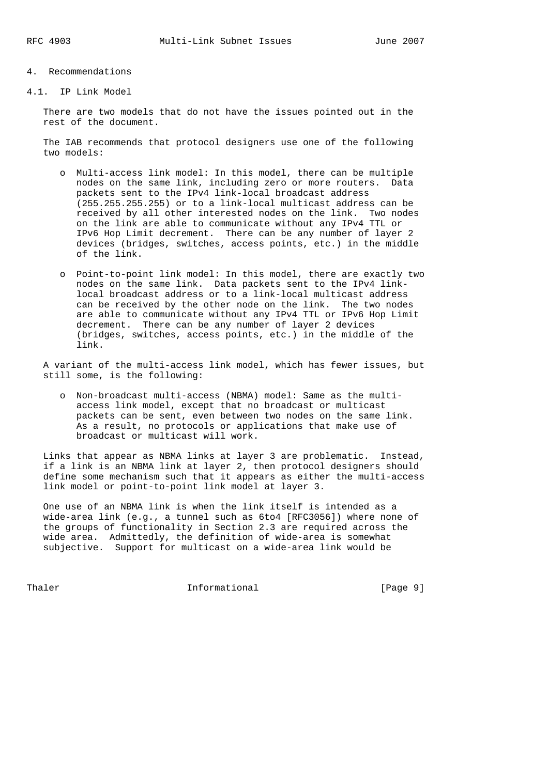#### 4. Recommendations

4.1. IP Link Model

 There are two models that do not have the issues pointed out in the rest of the document.

 The IAB recommends that protocol designers use one of the following two models:

- o Multi-access link model: In this model, there can be multiple nodes on the same link, including zero or more routers. Data packets sent to the IPv4 link-local broadcast address (255.255.255.255) or to a link-local multicast address can be received by all other interested nodes on the link. Two nodes on the link are able to communicate without any IPv4 TTL or IPv6 Hop Limit decrement. There can be any number of layer 2 devices (bridges, switches, access points, etc.) in the middle of the link.
- o Point-to-point link model: In this model, there are exactly two nodes on the same link. Data packets sent to the IPv4 link local broadcast address or to a link-local multicast address can be received by the other node on the link. The two nodes are able to communicate without any IPv4 TTL or IPv6 Hop Limit decrement. There can be any number of layer 2 devices (bridges, switches, access points, etc.) in the middle of the link.

 A variant of the multi-access link model, which has fewer issues, but still some, is the following:

 o Non-broadcast multi-access (NBMA) model: Same as the multi access link model, except that no broadcast or multicast packets can be sent, even between two nodes on the same link. As a result, no protocols or applications that make use of broadcast or multicast will work.

 Links that appear as NBMA links at layer 3 are problematic. Instead, if a link is an NBMA link at layer 2, then protocol designers should define some mechanism such that it appears as either the multi-access link model or point-to-point link model at layer 3.

 One use of an NBMA link is when the link itself is intended as a wide-area link (e.g., a tunnel such as 6to4 [RFC3056]) where none of the groups of functionality in Section 2.3 are required across the wide area. Admittedly, the definition of wide-area is somewhat subjective. Support for multicast on a wide-area link would be

Thaler **Informational Informational** [Page 9]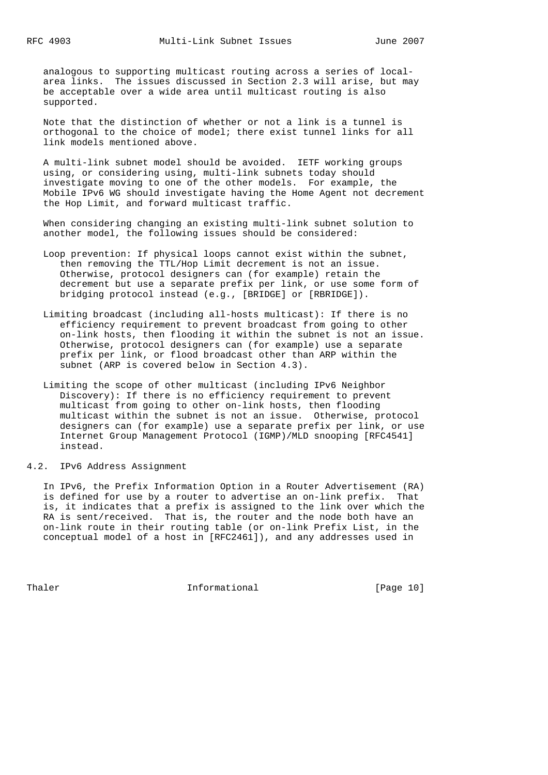analogous to supporting multicast routing across a series of local area links. The issues discussed in Section 2.3 will arise, but may be acceptable over a wide area until multicast routing is also supported.

 Note that the distinction of whether or not a link is a tunnel is orthogonal to the choice of model; there exist tunnel links for all link models mentioned above.

 A multi-link subnet model should be avoided. IETF working groups using, or considering using, multi-link subnets today should investigate moving to one of the other models. For example, the Mobile IPv6 WG should investigate having the Home Agent not decrement the Hop Limit, and forward multicast traffic.

 When considering changing an existing multi-link subnet solution to another model, the following issues should be considered:

- Loop prevention: If physical loops cannot exist within the subnet, then removing the TTL/Hop Limit decrement is not an issue. Otherwise, protocol designers can (for example) retain the decrement but use a separate prefix per link, or use some form of bridging protocol instead (e.g., [BRIDGE] or [RBRIDGE]).
- Limiting broadcast (including all-hosts multicast): If there is no efficiency requirement to prevent broadcast from going to other on-link hosts, then flooding it within the subnet is not an issue. Otherwise, protocol designers can (for example) use a separate prefix per link, or flood broadcast other than ARP within the subnet (ARP is covered below in Section 4.3).
- Limiting the scope of other multicast (including IPv6 Neighbor Discovery): If there is no efficiency requirement to prevent multicast from going to other on-link hosts, then flooding multicast within the subnet is not an issue. Otherwise, protocol designers can (for example) use a separate prefix per link, or use Internet Group Management Protocol (IGMP)/MLD snooping [RFC4541] instead.
- 4.2. IPv6 Address Assignment

 In IPv6, the Prefix Information Option in a Router Advertisement (RA) is defined for use by a router to advertise an on-link prefix. That is, it indicates that a prefix is assigned to the link over which the RA is sent/received. That is, the router and the node both have an on-link route in their routing table (or on-link Prefix List, in the conceptual model of a host in [RFC2461]), and any addresses used in

Thaler **Informational Informational** [Page 10]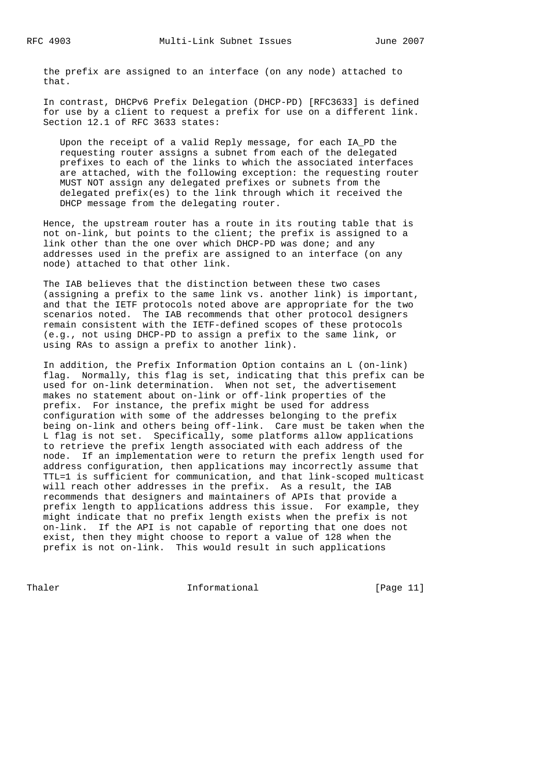the prefix are assigned to an interface (on any node) attached to that.

 In contrast, DHCPv6 Prefix Delegation (DHCP-PD) [RFC3633] is defined for use by a client to request a prefix for use on a different link. Section 12.1 of RFC 3633 states:

 Upon the receipt of a valid Reply message, for each IA\_PD the requesting router assigns a subnet from each of the delegated prefixes to each of the links to which the associated interfaces are attached, with the following exception: the requesting router MUST NOT assign any delegated prefixes or subnets from the delegated prefix(es) to the link through which it received the DHCP message from the delegating router.

 Hence, the upstream router has a route in its routing table that is not on-link, but points to the client; the prefix is assigned to a link other than the one over which DHCP-PD was done; and any addresses used in the prefix are assigned to an interface (on any node) attached to that other link.

 The IAB believes that the distinction between these two cases (assigning a prefix to the same link vs. another link) is important, and that the IETF protocols noted above are appropriate for the two scenarios noted. The IAB recommends that other protocol designers remain consistent with the IETF-defined scopes of these protocols (e.g., not using DHCP-PD to assign a prefix to the same link, or using RAs to assign a prefix to another link).

 In addition, the Prefix Information Option contains an L (on-link) flag. Normally, this flag is set, indicating that this prefix can be used for on-link determination. When not set, the advertisement makes no statement about on-link or off-link properties of the prefix. For instance, the prefix might be used for address configuration with some of the addresses belonging to the prefix being on-link and others being off-link. Care must be taken when the L flag is not set. Specifically, some platforms allow applications to retrieve the prefix length associated with each address of the node. If an implementation were to return the prefix length used for address configuration, then applications may incorrectly assume that TTL=1 is sufficient for communication, and that link-scoped multicast will reach other addresses in the prefix. As a result, the IAB recommends that designers and maintainers of APIs that provide a prefix length to applications address this issue. For example, they might indicate that no prefix length exists when the prefix is not on-link. If the API is not capable of reporting that one does not exist, then they might choose to report a value of 128 when the prefix is not on-link. This would result in such applications

Thaler **Informational Informational** [Page 11]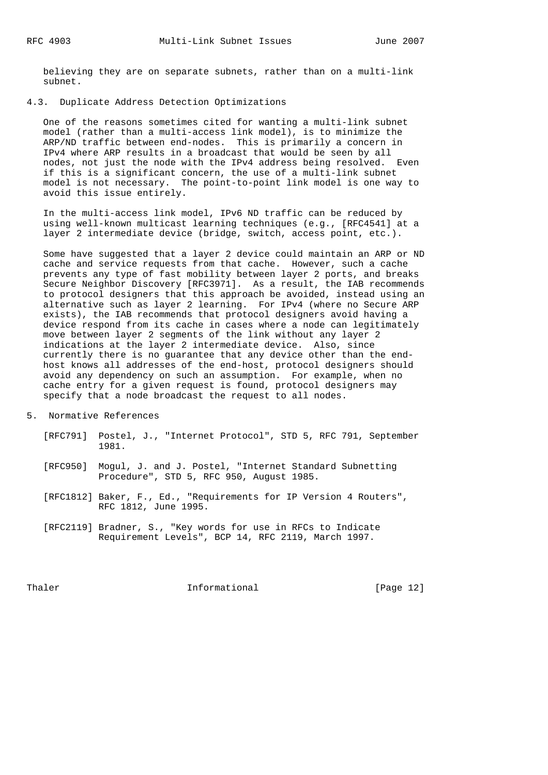believing they are on separate subnets, rather than on a multi-link subnet.

### 4.3. Duplicate Address Detection Optimizations

 One of the reasons sometimes cited for wanting a multi-link subnet model (rather than a multi-access link model), is to minimize the ARP/ND traffic between end-nodes. This is primarily a concern in IPv4 where ARP results in a broadcast that would be seen by all nodes, not just the node with the IPv4 address being resolved. Even if this is a significant concern, the use of a multi-link subnet model is not necessary. The point-to-point link model is one way to avoid this issue entirely.

 In the multi-access link model, IPv6 ND traffic can be reduced by using well-known multicast learning techniques (e.g., [RFC4541] at a layer 2 intermediate device (bridge, switch, access point, etc.).

 Some have suggested that a layer 2 device could maintain an ARP or ND cache and service requests from that cache. However, such a cache prevents any type of fast mobility between layer 2 ports, and breaks Secure Neighbor Discovery [RFC3971]. As a result, the IAB recommends to protocol designers that this approach be avoided, instead using an alternative such as layer 2 learning. For IPv4 (where no Secure ARP exists), the IAB recommends that protocol designers avoid having a device respond from its cache in cases where a node can legitimately move between layer 2 segments of the link without any layer 2 indications at the layer 2 intermediate device. Also, since currently there is no guarantee that any device other than the end host knows all addresses of the end-host, protocol designers should avoid any dependency on such an assumption. For example, when no cache entry for a given request is found, protocol designers may specify that a node broadcast the request to all nodes.

- 5. Normative References
	- [RFC791] Postel, J., "Internet Protocol", STD 5, RFC 791, September 1981.
	- [RFC950] Mogul, J. and J. Postel, "Internet Standard Subnetting Procedure", STD 5, RFC 950, August 1985.
	- [RFC1812] Baker, F., Ed., "Requirements for IP Version 4 Routers", RFC 1812, June 1995.
	- [RFC2119] Bradner, S., "Key words for use in RFCs to Indicate Requirement Levels", BCP 14, RFC 2119, March 1997.

Thaler **Informational Informational** [Page 12]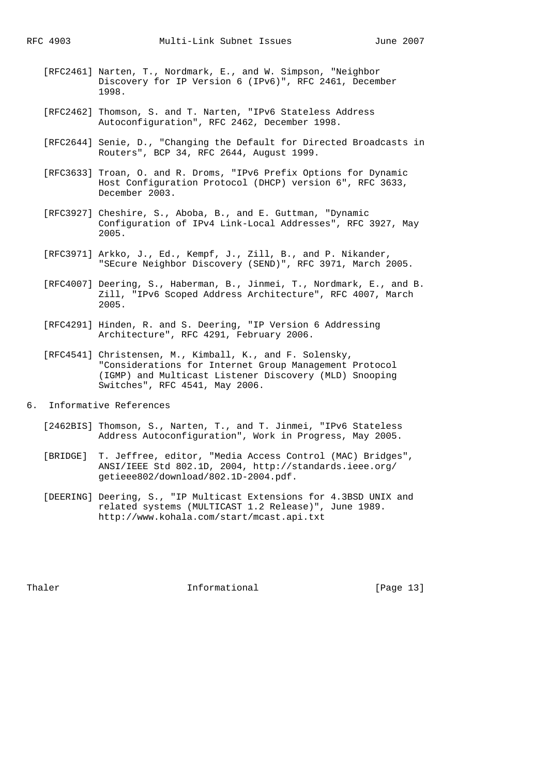- [RFC2461] Narten, T., Nordmark, E., and W. Simpson, "Neighbor Discovery for IP Version 6 (IPv6)", RFC 2461, December 1998.
- [RFC2462] Thomson, S. and T. Narten, "IPv6 Stateless Address Autoconfiguration", RFC 2462, December 1998.
- [RFC2644] Senie, D., "Changing the Default for Directed Broadcasts in Routers", BCP 34, RFC 2644, August 1999.
- [RFC3633] Troan, O. and R. Droms, "IPv6 Prefix Options for Dynamic Host Configuration Protocol (DHCP) version 6", RFC 3633, December 2003.
- [RFC3927] Cheshire, S., Aboba, B., and E. Guttman, "Dynamic Configuration of IPv4 Link-Local Addresses", RFC 3927, May 2005.
- [RFC3971] Arkko, J., Ed., Kempf, J., Zill, B., and P. Nikander, "SEcure Neighbor Discovery (SEND)", RFC 3971, March 2005.
- [RFC4007] Deering, S., Haberman, B., Jinmei, T., Nordmark, E., and B. Zill, "IPv6 Scoped Address Architecture", RFC 4007, March 2005.
- [RFC4291] Hinden, R. and S. Deering, "IP Version 6 Addressing Architecture", RFC 4291, February 2006.
- [RFC4541] Christensen, M., Kimball, K., and F. Solensky, "Considerations for Internet Group Management Protocol (IGMP) and Multicast Listener Discovery (MLD) Snooping Switches", RFC 4541, May 2006.
- 6. Informative References
	- [2462BIS] Thomson, S., Narten, T., and T. Jinmei, "IPv6 Stateless Address Autoconfiguration", Work in Progress, May 2005.
	- [BRIDGE] T. Jeffree, editor, "Media Access Control (MAC) Bridges", ANSI/IEEE Std 802.1D, 2004, http://standards.ieee.org/ getieee802/download/802.1D-2004.pdf.
	- [DEERING] Deering, S., "IP Multicast Extensions for 4.3BSD UNIX and related systems (MULTICAST 1.2 Release)", June 1989. http://www.kohala.com/start/mcast.api.txt

Thaler **Informational Informational** [Page 13]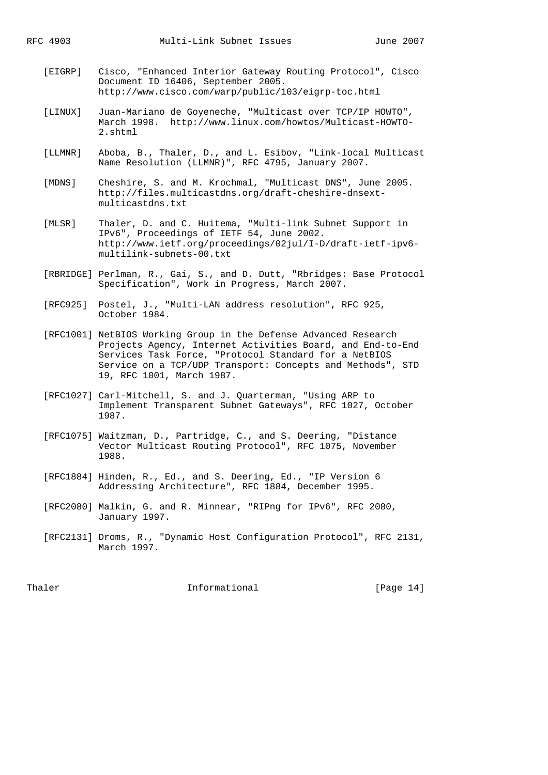- [EIGRP] Cisco, "Enhanced Interior Gateway Routing Protocol", Cisco Document ID 16406, September 2005. http://www.cisco.com/warp/public/103/eigrp-toc.html
- [LINUX] Juan-Mariano de Goyeneche, "Multicast over TCP/IP HOWTO", March 1998. http://www.linux.com/howtos/Multicast-HOWTO- 2.shtml
- [LLMNR] Aboba, B., Thaler, D., and L. Esibov, "Link-local Multicast Name Resolution (LLMNR)", RFC 4795, January 2007.
- [MDNS] Cheshire, S. and M. Krochmal, "Multicast DNS", June 2005. http://files.multicastdns.org/draft-cheshire-dnsext multicastdns.txt
- [MLSR] Thaler, D. and C. Huitema, "Multi-link Subnet Support in IPv6", Proceedings of IETF 54, June 2002. http://www.ietf.org/proceedings/02jul/I-D/draft-ietf-ipv6 multilink-subnets-00.txt
- [RBRIDGE] Perlman, R., Gai, S., and D. Dutt, "Rbridges: Base Protocol Specification", Work in Progress, March 2007.
- [RFC925] Postel, J., "Multi-LAN address resolution", RFC 925, October 1984.
- [RFC1001] NetBIOS Working Group in the Defense Advanced Research Projects Agency, Internet Activities Board, and End-to-End Services Task Force, "Protocol Standard for a NetBIOS Service on a TCP/UDP Transport: Concepts and Methods", STD 19, RFC 1001, March 1987.
- [RFC1027] Carl-Mitchell, S. and J. Quarterman, "Using ARP to Implement Transparent Subnet Gateways", RFC 1027, October 1987.
- [RFC1075] Waitzman, D., Partridge, C., and S. Deering, "Distance Vector Multicast Routing Protocol", RFC 1075, November 1988.
- [RFC1884] Hinden, R., Ed., and S. Deering, Ed., "IP Version 6 Addressing Architecture", RFC 1884, December 1995.
- [RFC2080] Malkin, G. and R. Minnear, "RIPng for IPv6", RFC 2080, January 1997.
- [RFC2131] Droms, R., "Dynamic Host Configuration Protocol", RFC 2131, March 1997.

Thaler **Informational Informational** [Page 14]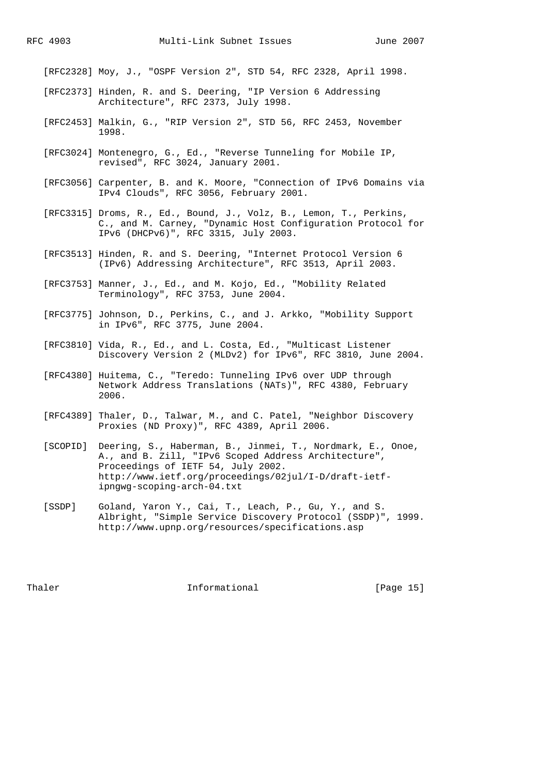[RFC2328] Moy, J., "OSPF Version 2", STD 54, RFC 2328, April 1998.

- [RFC2373] Hinden, R. and S. Deering, "IP Version 6 Addressing Architecture", RFC 2373, July 1998.
- [RFC2453] Malkin, G., "RIP Version 2", STD 56, RFC 2453, November 1998.
- [RFC3024] Montenegro, G., Ed., "Reverse Tunneling for Mobile IP, revised", RFC 3024, January 2001.
- [RFC3056] Carpenter, B. and K. Moore, "Connection of IPv6 Domains via IPv4 Clouds", RFC 3056, February 2001.
- [RFC3315] Droms, R., Ed., Bound, J., Volz, B., Lemon, T., Perkins, C., and M. Carney, "Dynamic Host Configuration Protocol for IPv6 (DHCPv6)", RFC 3315, July 2003.
- [RFC3513] Hinden, R. and S. Deering, "Internet Protocol Version 6 (IPv6) Addressing Architecture", RFC 3513, April 2003.
- [RFC3753] Manner, J., Ed., and M. Kojo, Ed., "Mobility Related Terminology", RFC 3753, June 2004.
- [RFC3775] Johnson, D., Perkins, C., and J. Arkko, "Mobility Support in IPv6", RFC 3775, June 2004.
- [RFC3810] Vida, R., Ed., and L. Costa, Ed., "Multicast Listener Discovery Version 2 (MLDv2) for IPv6", RFC 3810, June 2004.
- [RFC4380] Huitema, C., "Teredo: Tunneling IPv6 over UDP through Network Address Translations (NATs)", RFC 4380, February 2006.
- [RFC4389] Thaler, D., Talwar, M., and C. Patel, "Neighbor Discovery Proxies (ND Proxy)", RFC 4389, April 2006.
- [SCOPID] Deering, S., Haberman, B., Jinmei, T., Nordmark, E., Onoe, A., and B. Zill, "IPv6 Scoped Address Architecture", Proceedings of IETF 54, July 2002. http://www.ietf.org/proceedings/02jul/I-D/draft-ietf ipngwg-scoping-arch-04.txt
- [SSDP] Goland, Yaron Y., Cai, T., Leach, P., Gu, Y., and S. Albright, "Simple Service Discovery Protocol (SSDP)", 1999. http://www.upnp.org/resources/specifications.asp

Thaler **Informational Informational** [Page 15]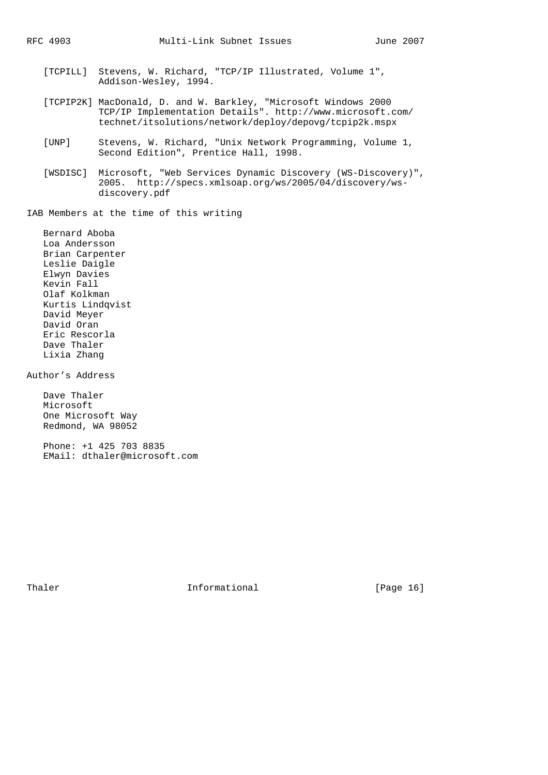- [TCPILL] Stevens, W. Richard, "TCP/IP Illustrated, Volume 1", Addison-Wesley, 1994.
- [TCPIP2K] MacDonald, D. and W. Barkley, "Microsoft Windows 2000 TCP/IP Implementation Details". http://www.microsoft.com/ technet/itsolutions/network/deploy/depovg/tcpip2k.mspx
- [UNP] Stevens, W. Richard, "Unix Network Programming, Volume 1, Second Edition", Prentice Hall, 1998.
- [WSDISC] Microsoft, "Web Services Dynamic Discovery (WS-Discovery)", 2005. http://specs.xmlsoap.org/ws/2005/04/discovery/ws discovery.pdf

IAB Members at the time of this writing

 Bernard Aboba Loa Andersson Brian Carpenter Leslie Daigle Elwyn Davies Kevin Fall Olaf Kolkman Kurtis Lindqvist David Meyer David Oran Eric Rescorla Dave Thaler Lixia Zhang

Author's Address

 Dave Thaler Microsoft One Microsoft Way Redmond, WA 98052

 Phone: +1 425 703 8835 EMail: dthaler@microsoft.com

Thaler **Informational Informational** [Page 16]